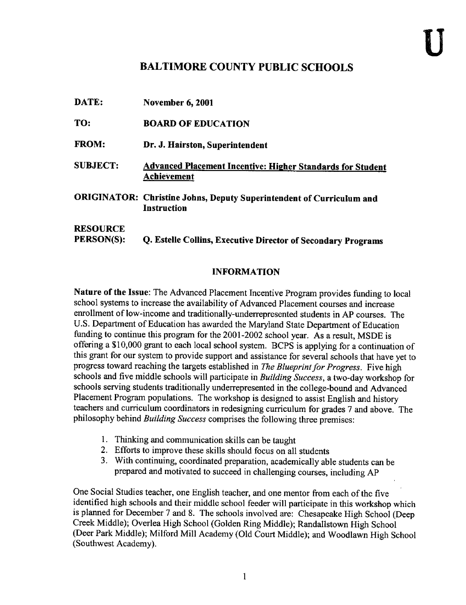## BALTIMORE COUNTY PUBLIC SCHOOLS

| DATE:                                | <b>November 6, 2001</b>                                                             |
|--------------------------------------|-------------------------------------------------------------------------------------|
| TO:                                  | <b>BOARD OF EDUCATION</b>                                                           |
| <b>FROM:</b>                         | Dr. J. Hairston, Superintendent                                                     |
| <b>SUBJECT:</b>                      | <b>Advanced Placement Incentive: Higher Standards for Student</b><br>Achievement    |
|                                      | ORIGINATOR: Christine Johns, Deputy Superintendent of Curriculum and<br>Instruction |
| <b>RESOURCE</b><br><b>PERSON(S):</b> | Q. Estelle Collins, Executive Director of Secondary Programs                        |

## INFORMATION

Nature of the Issue: The Advanced Placement Incentive Program provides funding to local school systems to increase the availability of Advanced Placement courses and increase enrollment of low-income and traditionally-underrepresented students in AP courses. The U.S. Department of Education has awarded the Maryland State Department of Education funding to continue this program for the 2001-2002 school year. As <sup>a</sup> result, MSDE is offering <sup>a</sup> \$10,000 grant to each local school system. BCPS is applying for <sup>a</sup> continuation of this grant for our system to provide support and assistance for several schools that have yet to progress toward reaching the targets established in The Blueprint for Progress. Five high schools and five middle schools will participate in Building Success, a two-day workshop for schools serving students traditionally underrepresented in the college-bound and Advanced Placement Program populations. The workshop is designed to assist English and history teachers and curriculum coordinators in redesigning curriculum for grades <sup>7</sup> and above . The philosophy behind Building Success comprises the following three premises:

- 1. Thinking and communication skills can be taught
- 2. Efforts to improve these skills should focus on all students
- 3. With continuing, coordinated preparation, academically able students can be prepared and motivated to succeed in challenging courses, including AP

One Social Studies teacher, one English teacher, and one mentor from each of the five identified high schools and their middle school feeder will participate in this workshop which is planned for December 7 and 8. The schools involved are: Chesapeake High School (Deep Creek Middle); Overlea High School (Golden Ring Middle); Randallstown High School (Deer Park Middle); Milford Mill Academy (Old Court Middle); and Woodlawn High School (Southwest Academy) .